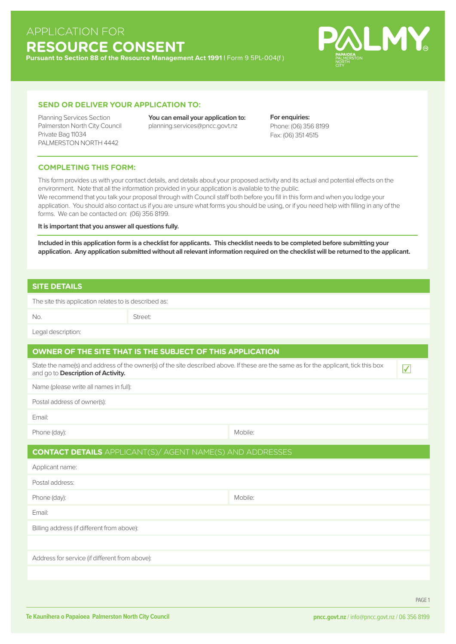# APPLICATION FOR **RESOURCE CONSENT**

**Pursuant to Section 88 of the Resource Management Act 1991 |** Form 9 5PL-004(f )



#### **SEND OR DELIVER YOUR APPLICATION TO:**

Private Bag 11034 PALMERSTON NORTH 4442

Planning Services Section **You can email your application to:**  Palmerston North City Council planning.services@pncc.govt.nz

**For enquiries:**  Phone: (06) 356 8199 Fax: (06) 351 4515

#### **COMPLETING THIS FORM:**

This form provides us with your contact details, and details about your proposed activity and its actual and potential effects on the environment. Note that all the information provided in your application is available to the public.

We recommend that you talk your proposal through with Council staff both before you fill in this form and when you lodge your application. You should also contact us if you are unsure what forms you should be using, or if you need help with filling in any of the forms. We can be contacted on: (06) 356 8199.

#### **It is important that you answer all questions fully.**

**Included in this application form is a checklist for applicants. This checklist needs to be completed before submitting your application. Any application submitted without all relevant information required on the checklist will be returned to the applicant.**

### **SITE DETAILS**

The site this application relates to is described as:

No. Street:

Legal description:

## **OWNER OF THE SITE THAT IS THE SUBJECT OF THIS APPLICATION**

State the name(s) and address of the owner(s) of the site described above. If these are the same as for the applicant, tick this box **that it is convented above that it is an**d go to **Description of Activity.** 

Name (please write all names in full):

Postal address of owner(s):

Email:

| Phone (day): | Mobile: |
|--------------|---------|
|              |         |

#### **CONTACT DETAILS** APPLICANT(S)/ AGENT NAME(S) AND ADDRESSES

| Applicant name:                                |         |
|------------------------------------------------|---------|
| Postal address:                                |         |
| Phone (day):                                   | Mobile: |
| Email:                                         |         |
| Billing address (if different from above):     |         |
|                                                |         |
| Address for service (if different from above): |         |
|                                                |         |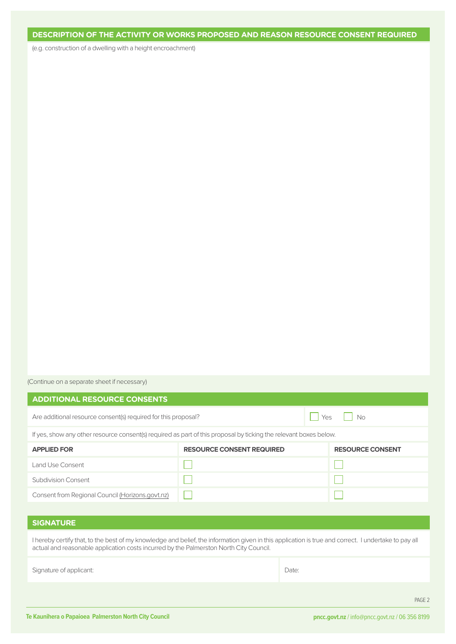## **DESCRIPTION OF THE ACTIVITY OR WORKS PROPOSED AND REASON RESOURCE CONSENT REQUIRED**

(e.g. construction of a dwelling with a height encroachment)

(Continue on a separate sheet if necessary)

| <b>ADDITIONAL RESOURCE CONSENTS</b>                                                                                                                                                                                                            |                                  |       |                         |  |
|------------------------------------------------------------------------------------------------------------------------------------------------------------------------------------------------------------------------------------------------|----------------------------------|-------|-------------------------|--|
| Are additional resource consent(s) required for this proposal?                                                                                                                                                                                 |                                  |       | No<br>Yes               |  |
| If yes, show any other resource consent(s) required as part of this proposal by ticking the relevant boxes below.                                                                                                                              |                                  |       |                         |  |
| <b>APPLIED FOR</b>                                                                                                                                                                                                                             | <b>RESOURCE CONSENT REQUIRED</b> |       | <b>RESOURCE CONSENT</b> |  |
| <b>Land Use Consent</b>                                                                                                                                                                                                                        |                                  |       |                         |  |
| <b>Subdivision Consent</b>                                                                                                                                                                                                                     |                                  |       |                         |  |
| Consent from Regional Council (Horizons.govt.nz)                                                                                                                                                                                               |                                  |       |                         |  |
|                                                                                                                                                                                                                                                |                                  |       |                         |  |
| <b>SIGNATURE</b>                                                                                                                                                                                                                               |                                  |       |                         |  |
| I hereby certify that, to the best of my knowledge and belief, the information given in this application is true and correct. I undertake to pay all<br>actual and reasonable application costs incurred by the Palmerston North City Council. |                                  |       |                         |  |
| Signature of applicant:                                                                                                                                                                                                                        |                                  | Date: |                         |  |
|                                                                                                                                                                                                                                                |                                  |       |                         |  |

PAGE 2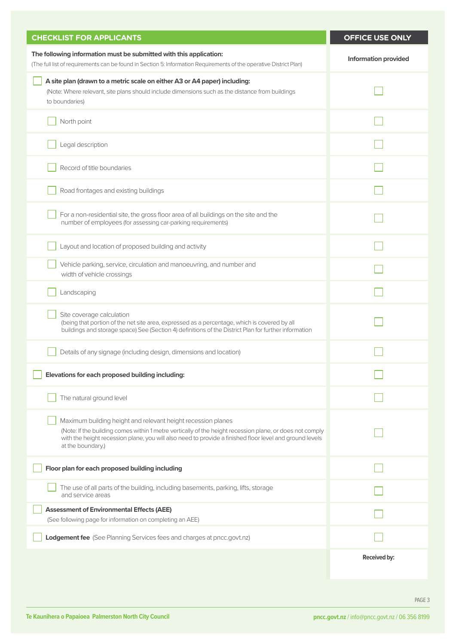| <b>CHECKLIST FOR APPLICANTS</b>                                                                                                                                                                                                                                                                          | OFFICE USE ONLY             |
|----------------------------------------------------------------------------------------------------------------------------------------------------------------------------------------------------------------------------------------------------------------------------------------------------------|-----------------------------|
| The following information must be submitted with this application:<br>(The full list of requirements can be found in Section 5: Information Requirements of the operative District Plan)                                                                                                                 | <b>Information provided</b> |
| A site plan (drawn to a metric scale on either A3 or A4 paper) including:<br>(Note: Where relevant, site plans should include dimensions such as the distance from buildings<br>to boundaries)                                                                                                           |                             |
| North point                                                                                                                                                                                                                                                                                              |                             |
| Legal description                                                                                                                                                                                                                                                                                        |                             |
| Record of title boundaries                                                                                                                                                                                                                                                                               |                             |
| Road frontages and existing buildings                                                                                                                                                                                                                                                                    |                             |
| For a non-residential site, the gross floor area of all buildings on the site and the<br>number of employees (for assessing car-parking requirements)                                                                                                                                                    |                             |
| Layout and location of proposed building and activity                                                                                                                                                                                                                                                    |                             |
| Vehicle parking, service, circulation and manoeuvring, and number and<br>width of vehicle crossings                                                                                                                                                                                                      |                             |
| Landscaping                                                                                                                                                                                                                                                                                              |                             |
| Site coverage calculation<br>(being that portion of the net site area, expressed as a percentage, which is covered by all<br>buildings and storage space) See (Section 4) definitions of the District Plan for further information                                                                       |                             |
| Details of any signage (including design, dimensions and location)                                                                                                                                                                                                                                       |                             |
| Elevations for each proposed building including:                                                                                                                                                                                                                                                         |                             |
| The natural ground level                                                                                                                                                                                                                                                                                 |                             |
| Maximum building height and relevant height recession planes<br>(Note: If the building comes within 1 metre vertically of the height recession plane, or does not comply<br>with the height recession plane, you will also need to provide a finished floor level and ground levels<br>at the boundary.) |                             |
| Floor plan for each proposed building including                                                                                                                                                                                                                                                          |                             |
| The use of all parts of the building, including basements, parking, lifts, storage<br>and service areas                                                                                                                                                                                                  |                             |
| <b>Assessment of Environmental Effects (AEE)</b><br>(See following page for information on completing an AEE)                                                                                                                                                                                            |                             |
| Lodgement fee (See Planning Services fees and charges at pncc.govt.nz)                                                                                                                                                                                                                                   |                             |
|                                                                                                                                                                                                                                                                                                          | <b>Received by:</b>         |